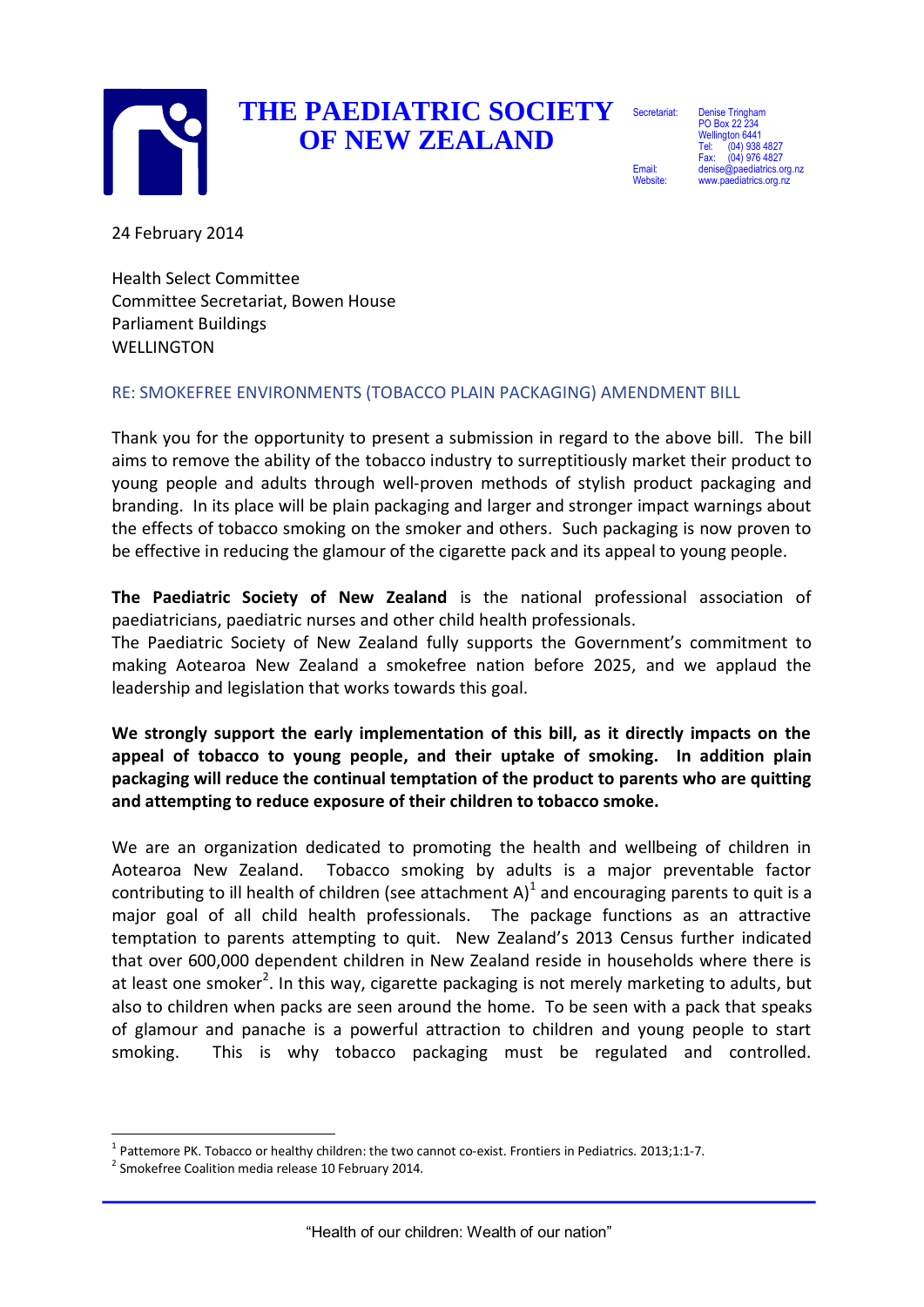

## **THE PAEDIATRIC SOCIETY OF NEW ZEALAND**

**Secretariat** 

Email: Website: Denise Tringham PO Box 22 234 Wellington 6441 (04) 938 4827  $64$ ) 976 4827 atrics.org.nz diatrics.org.nz

24 February 2014

Health Select Committee Committee Secretariat, Bowen House Parliament Buildings **WELLINGTON** 

#### RE: SMOKEFREE ENVIRONMENTS (TOBACCO PLAIN PACKAGING) AMENDMENT BILL

Thank you for the opportunity to present a submission in regard to the above bill. The bill aims to remove the ability of the tobacco industry to surreptitiously market their product to young people and adults through well-proven methods of stylish product packaging and branding. In its place will be plain packaging and larger and stronger impact warnings about the effects of tobacco smoking on the smoker and others. Such packaging is now proven to be effective in reducing the glamour of the cigarette pack and its appeal to young people.

**The Paediatric Society of New Zealand** is the national professional association of paediatricians, paediatric nurses and other child health professionals.

The Paediatric Society of New Zealand fully supports the Government's commitment to making Aotearoa New Zealand a smokefree nation before 2025, and we applaud the leadership and legislation that works towards this goal.

**We strongly support the early implementation of this bill, as it directly impacts on the appeal of tobacco to young people, and their uptake of smoking. In addition plain packaging will reduce the continual temptation of the product to parents who are quitting and attempting to reduce exposure of their children to tobacco smoke.**

We are an organization dedicated to promoting the health and wellbeing of children in Aotearoa New Zealand. Tobacco smoking by adults is a major preventable factor contributing to ill health of children (see attachment A)<sup>1</sup> and encouraging parents to quit is a major goal of all child health professionals. The package functions as an attractive temptation to parents attempting to quit. New Zealand's 2013 Census further indicated that over 600,000 dependent children in New Zealand reside in households where there is at least one smoker<sup>2</sup>. In this way, cigarette packaging is not merely marketing to adults, but also to children when packs are seen around the home. To be seen with a pack that speaks of glamour and panache is a powerful attraction to children and young people to start smoking. This is why tobacco packaging must be regulated and controlled.

<sup>-</sup> $1$  Pattemore PK. Tobacco or healthy children: the two cannot co-exist. Frontiers in Pediatrics. 2013;1:1-7.

<sup>&</sup>lt;sup>2</sup> Smokefree Coalition media release 10 February 2014.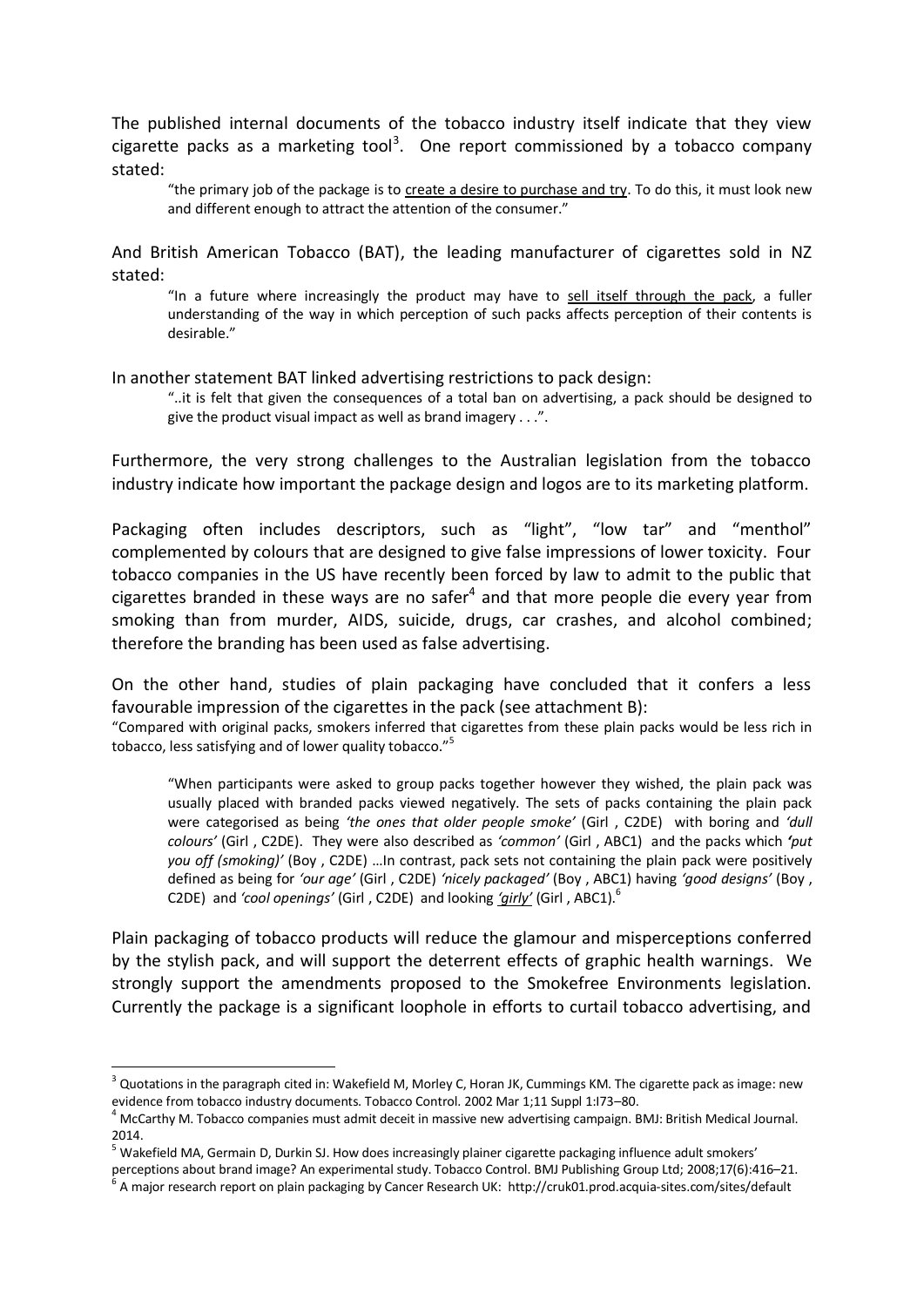The published internal documents of the tobacco industry itself indicate that they view cigarette packs as a marketing tool<sup>3</sup>. One report commissioned by a tobacco company stated:

"the primary job of the package is to create a desire to purchase and try. To do this, it must look new and different enough to attract the attention of the consumer."

And British American Tobacco (BAT), the leading manufacturer of cigarettes sold in NZ stated:

"In a future where increasingly the product may have to sell itself through the pack, a fuller understanding of the way in which perception of such packs affects perception of their contents is desirable."

In another statement BAT linked advertising restrictions to pack design:

"..it is felt that given the consequences of a total ban on advertising, a pack should be designed to give the product visual impact as well as brand imagery . . .".

Furthermore, the very strong challenges to the Australian legislation from the tobacco industry indicate how important the package design and logos are to its marketing platform.

Packaging often includes descriptors, such as "light", "low tar" and "menthol" complemented by colours that are designed to give false impressions of lower toxicity. Four tobacco companies in the US have recently been forced by law to admit to the public that cigarettes branded in these ways are no safer $<sup>4</sup>$  and that more people die every year from</sup> smoking than from murder, AIDS, suicide, drugs, car crashes, and alcohol combined; therefore the branding has been used as false advertising.

On the other hand, studies of plain packaging have concluded that it confers a less favourable impression of the cigarettes in the pack (see attachment B):

"Compared with original packs, smokers inferred that cigarettes from these plain packs would be less rich in tobacco, less satisfying and of lower quality tobacco."<sup>5</sup>

"When participants were asked to group packs together however they wished, the plain pack was usually placed with branded packs viewed negatively. The sets of packs containing the plain pack were categorised as being *'the ones that older people smoke'* (Girl , C2DE) with boring and *'dull colours'* (Girl , C2DE). They were also described as *'common'* (Girl , ABC1) and the packs which *'put you off (smoking)'* (Boy , C2DE) …In contrast, pack sets not containing the plain pack were positively defined as being for *'our age'* (Girl , C2DE) *'nicely packaged'* (Boy , ABC1) having *'good designs'* (Boy , C2DE) and *'cool openings'* (Girl , C2DE) and looking *'girly'* (Girl , ABC1).<sup>6</sup>

Plain packaging of tobacco products will reduce the glamour and misperceptions conferred by the stylish pack, and will support the deterrent effects of graphic health warnings. We strongly support the amendments proposed to the Smokefree Environments legislation. Currently the package is a significant loophole in efforts to curtail tobacco advertising, and

-

 $3$  Quotations in the paragraph cited in: Wakefield M, Morley C, Horan JK, Cummings KM. The cigarette pack as image: new evidence from tobacco industry documents. Tobacco Control. 2002 Mar 1;11 Suppl 1:I73–80.

 $4$  McCarthy M. Tobacco companies must admit deceit in massive new advertising campaign. BMJ: British Medical Journal. 2014.

 $^5$  Wakefield MA, Germain D, Durkin SJ. How does increasingly plainer cigarette packaging influence adult smokers'

perceptions about brand image? An experimental study. Tobacco Control. BMJ Publishing Group Ltd; 2008;17(6):416–21.

<sup>6</sup> A major research report on plain packaging by Cancer Research UK: http://cruk01.prod.acquia-sites.com/sites/default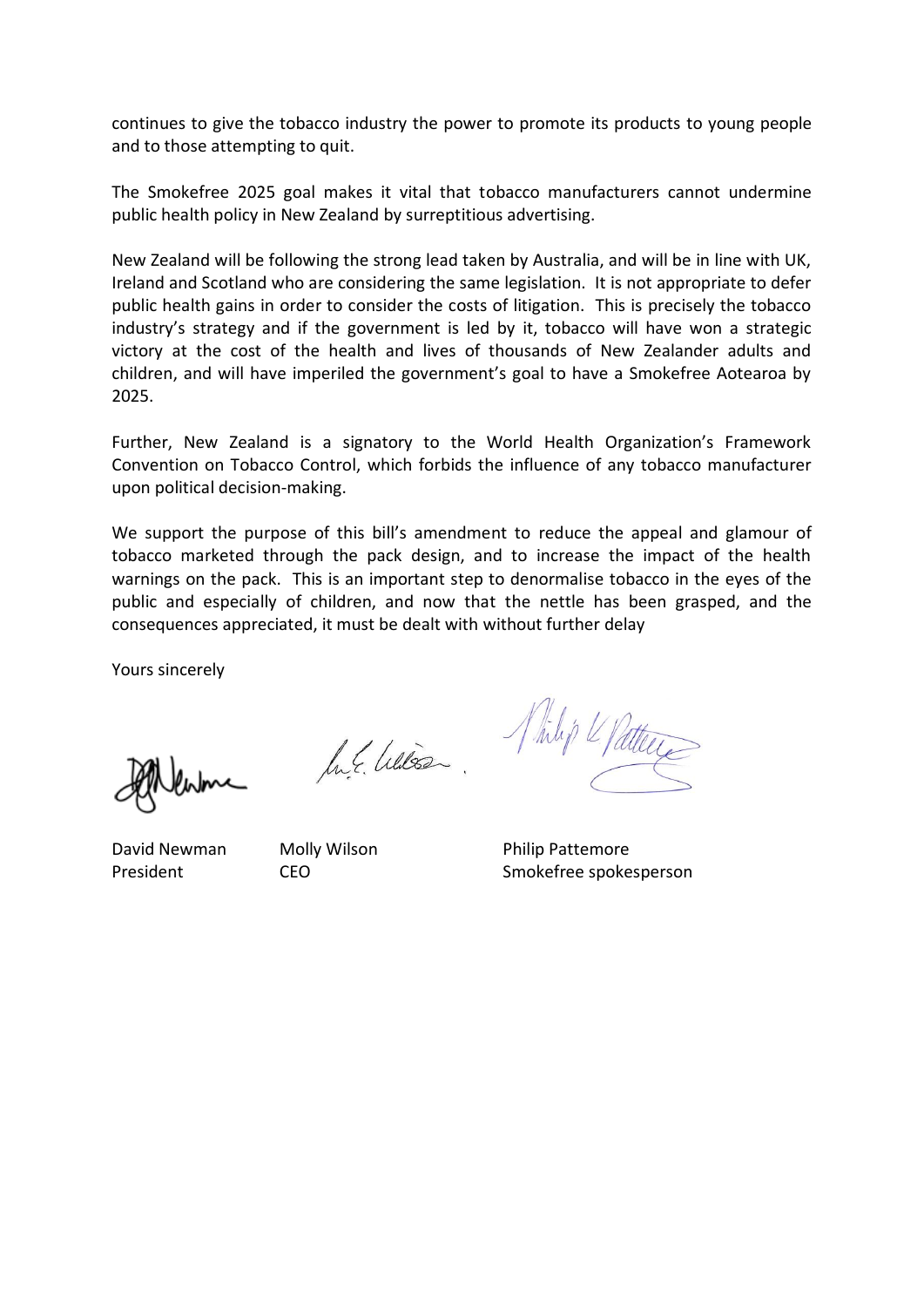continues to give the tobacco industry the power to promote its products to young people and to those attempting to quit.

The Smokefree 2025 goal makes it vital that tobacco manufacturers cannot undermine public health policy in New Zealand by surreptitious advertising.

New Zealand will be following the strong lead taken by Australia, and will be in line with UK, Ireland and Scotland who are considering the same legislation. It is not appropriate to defer public health gains in order to consider the costs of litigation. This is precisely the tobacco industry's strategy and if the government is led by it, tobacco will have won a strategic victory at the cost of the health and lives of thousands of New Zealander adults and children, and will have imperiled the government's goal to have a Smokefree Aotearoa by 2025.

Further, New Zealand is a signatory to the World Health Organization's Framework Convention on Tobacco Control, which forbids the influence of any tobacco manufacturer upon political decision-making.

We support the purpose of this bill's amendment to reduce the appeal and glamour of tobacco marketed through the pack design, and to increase the impact of the health warnings on the pack. This is an important step to denormalise tobacco in the eyes of the public and especially of children, and now that the nettle has been grasped, and the consequences appreciated, it must be dealt with without further delay

Yours sincerely

In E. Wilson.

Whilip & Patters

David Newman Molly Wilson Philip Pattemore President CEO CEO Smokefree spokesperson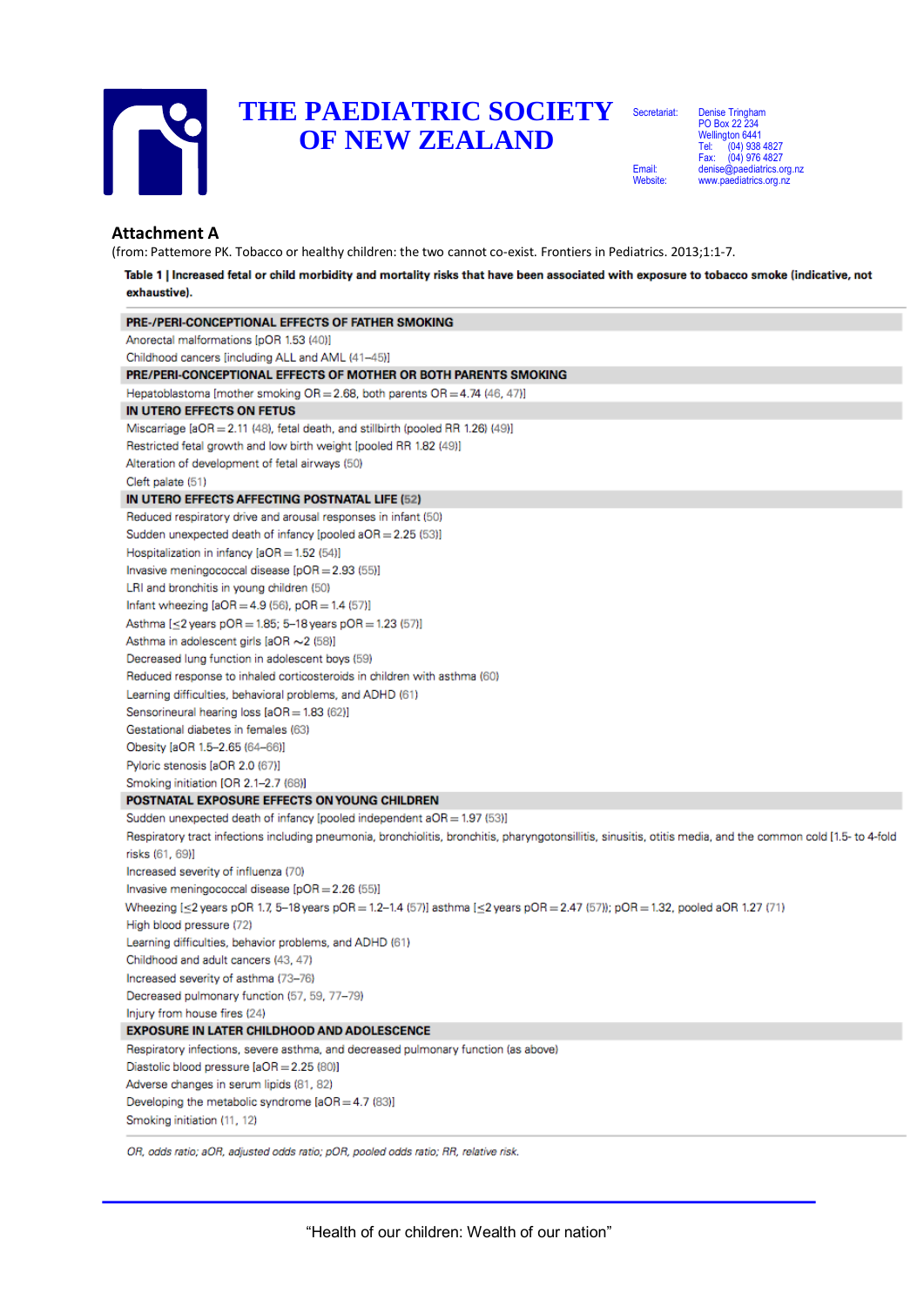

### **THE PAEDIATRIC SOCIETY**  Secretariat: **OF NEW ZEALAND**

Email: Website:

Denise Tringham PO Box 22 234 Wellington 6441 Tel: (04) 938 4827 Fax: (04) 976 4827<br>denise@naediatrics.org ediatrics.org.nz www.paediatrics.org.nz

#### **Attachment A**

(from: Pattemore PK. Tobacco or healthy children: the two cannot co-exist. Frontiers in Pediatrics. 2013;1:1-7.

Table 1 | Increased fetal or child morbidity and mortality risks that have been associated with exposure to tobacco smoke (indicative, not exhaustive).

| PRE-/PERI-CONCEPTIONAL EFFECTS OF FATHER SMOKING                                                                                                               |
|----------------------------------------------------------------------------------------------------------------------------------------------------------------|
| Anorectal malformations [pOR 1.53 (40)]                                                                                                                        |
| Childhood cancers [including ALL and AML (41–45)]                                                                                                              |
| PRE/PERI-CONCEPTIONAL EFFECTS OF MOTHER OR BOTH PARENTS SMOKING                                                                                                |
| Hepatoblastoma [mother smoking $OR = 2.68$ , both parents $OR = 4.74$ (46, 47)]                                                                                |
| IN UTERO EFFECTS ON FETUS                                                                                                                                      |
| Miscarriage [aOR = 2.11 (48), fetal death, and stillbirth (pooled RR 1.26) (49)]                                                                               |
| Restricted fetal growth and low birth weight [pooled RR 1.82 (49)]                                                                                             |
| Alteration of development of fetal airways (50)                                                                                                                |
| Cleft palate (51)                                                                                                                                              |
| IN UTERO EFFECTS AFFECTING POSTNATAL LIFE (52)                                                                                                                 |
| Reduced respiratory drive and arousal responses in infant (50)                                                                                                 |
| Sudden unexpected death of infancy [pooled a $OR = 2.25$ (53)]                                                                                                 |
| Hospitalization in infancy $[4OR = 1.52 (54)]$                                                                                                                 |
| Invasive meningococcal disease $[pOR = 2.93(55)]$                                                                                                              |
| LRI and bronchitis in young children (50)                                                                                                                      |
| Infant wheezing $[aOR = 4.9 (56)$ , pOR $= 1.4 (57)$ ]                                                                                                         |
| Asthma [≤2 years pOR = 1.85; 5–18 years pOR = 1.23 (57)]                                                                                                       |
| Asthma in adolescent girls [aOR ~2 (58)]                                                                                                                       |
| Decreased lung function in adolescent boys (59)                                                                                                                |
| Reduced response to inhaled corticosteroids in children with asthma (60)                                                                                       |
| Learning difficulties, behavioral problems, and ADHD (61)                                                                                                      |
| Sensorineural hearing loss [aOR = 1.83 (62)]                                                                                                                   |
| Gestational diabetes in females (63)                                                                                                                           |
| Obesity [aOR 1.5–2.65 (64–66)]                                                                                                                                 |
| Pyloric stenosis [aOR 2.0 (67)]                                                                                                                                |
| Smoking initiation [OR 2.1–2.7 (68)]                                                                                                                           |
| POSTNATAL EXPOSURE EFFECTS ON YOUNG CHILDREN                                                                                                                   |
| Sudden unexpected death of infancy [pooled independent $aOR = 1.97$ (53)]                                                                                      |
| Respiratory tract infections including pneumonia, bronchiolitis, bronchitis, pharyngotonsillitis, sinusitis, otitis media, and the common cold [1.5- to 4-fold |
| <b>risks (</b> 61, 69)]                                                                                                                                        |
| Increased severity of influenza (70)                                                                                                                           |
| Invasive meningococcal disease $[pOR = 2.26(55)]$                                                                                                              |
| Wheezing [<2 years pOR 1.7, 5-18 years pOR = 1.2-1.4 (57)] asthma [<2 years pOR = 2.47 (57)); pOR = 1.32, pooled aOR 1.27 (71)                                 |
| High blood pressure (72)                                                                                                                                       |
| Learning difficulties, behavior problems, and ADHD (61)                                                                                                        |
| Childhood and adult cancers (43, 47)                                                                                                                           |
| Increased severity of asthma (73-76)                                                                                                                           |
| Decreased pulmonary function (57, 59, 77-79)                                                                                                                   |
| Injury from house fires (24)                                                                                                                                   |
| <b>EXPOSURE IN LATER CHILDHOOD AND ADOLESCENCE</b>                                                                                                             |
| Respiratory infections, severe asthma, and decreased pulmonary function (as above)                                                                             |
| Diastolic blood pressure [aOR = 2.25 (80)]                                                                                                                     |
| Adverse changes in serum lipids (81, 82)                                                                                                                       |
| Developing the metabolic syndrome $[aOR = 4.7 (83)]$                                                                                                           |
| Smoking initiation (11, 12)                                                                                                                                    |
|                                                                                                                                                                |

OR, odds ratio; aOR, adjusted odds ratio; pOR, pooled odds ratio; RR, relative risk.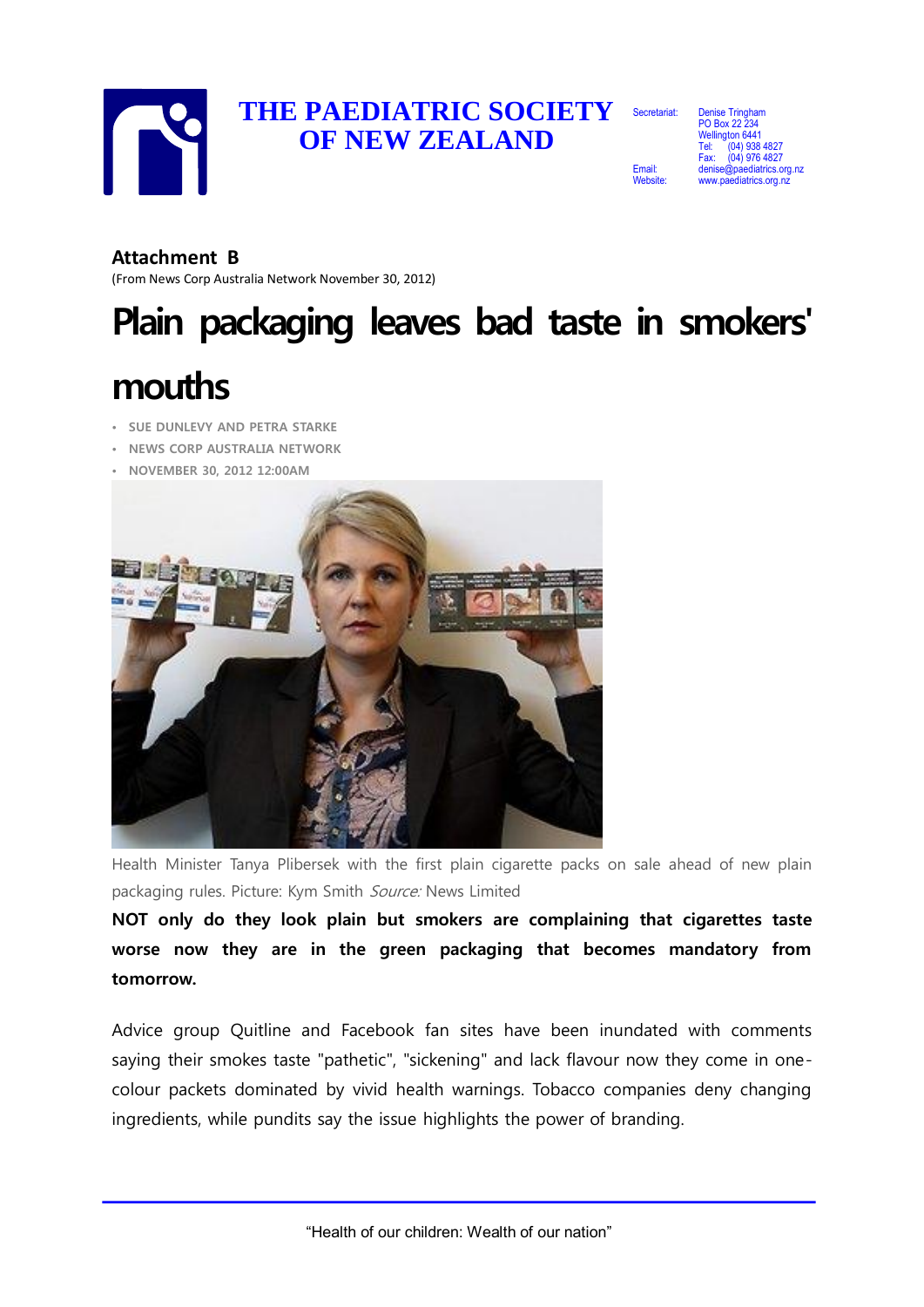

## **THE PAEDIATRIC SOCIETY**  Secretariat: **OF NEW ZEALAND**

Email:

Website:

**Denise Tringh** PO Box 22 234 Wellington 6441 (04) 938 4827 Fax: (04) 976 4827 atrics.org.nz atrics.org.nz

#### **Attachment B**

(From News Corp Australia Network November 30, 2012)

# **Plain packaging leaves bad taste in smokers'**

## **mouths**

- **SUE DUNLEVY AND PETRA STARKE**
- **NEWS CORP AUSTRALIA NETWORK**
- **NOVEMBER 30, 2012 12:00AM**



Health Minister Tanya Plibersek with the first plain cigarette packs on sale ahead of new plain packaging rules. Picture: Kym Smith Source: News Limited

**NOT only do they look plain but smokers are complaining that cigarettes taste worse now they are in the green packaging that becomes mandatory from tomorrow.**

Advice group Quitline and Facebook fan sites have been inundated with comments saying their smokes taste "pathetic", "sickening" and lack flavour now they come in onecolour packets dominated by vivid health warnings. Tobacco companies deny changing ingredients, while pundits say the issue highlights the power of branding.